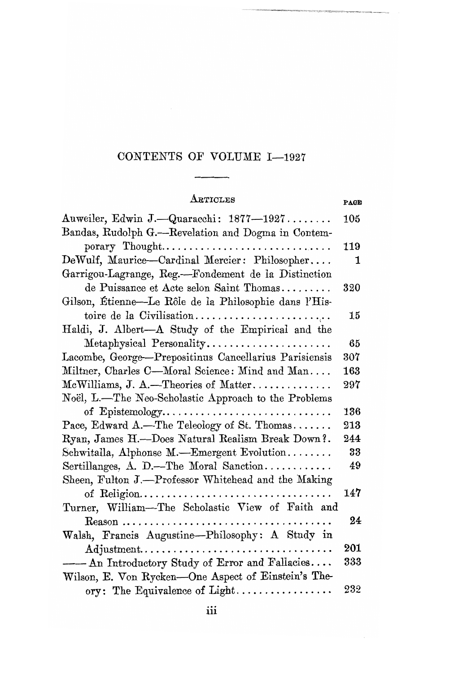### CONTENTS OF VOLUME I-1927

| ${\rm A}$ rticles                                                                            | PAGE |
|----------------------------------------------------------------------------------------------|------|
| Auweiler, Edwin J.—Quaracchi: 1877—1927                                                      | 105  |
| Bandas, Rudolph G.-Revelation and Dogma in Contem-                                           |      |
| porary Thought                                                                               | 119  |
| DeWulf, Maurice-Cardinal Mercier: Philosopher                                                | 1    |
| Garrigou-Lagrange, Reg.-Fondement de la Distinction                                          |      |
| de Puissance et Acte selon Saint Thomas                                                      | 320  |
| Gilson, Étienne—Le Rôle de la Philosophie dans l'His-                                        |      |
|                                                                                              | 15   |
| Haldi, J. Albert-A Study of the Empirical and the                                            |      |
| Metaphysical Personality                                                                     | 65   |
| Lacombe, George-Prepositinus Cancellarius Parisiensis                                        | 307  |
| Miltner, Charles C—Moral Science: Mind and Man                                               | 163  |
| $McWilliams, J. A.$ -Theories of Matter                                                      | 297  |
| Noël, L.-The Neo-Scholastic Approach to the Problems                                         |      |
| of Epistemology                                                                              | 136  |
| Pace, Edward A.—The Teleology of St. Thomas                                                  | 213  |
| Ryan, James H.--Does Natural Realism Break Down?.                                            | 244  |
| Schwitalla, Alphonse M.-Emergent Evolution                                                   | 33   |
| Sertillanges, A. D.—The Moral Sanction                                                       | 49   |
| Sheen, Fulton J.-Professor Whitehead and the Making                                          |      |
| of Religion                                                                                  | 147  |
| Turner, William-The Scholastic View of Faith and                                             |      |
| $\rm{Reason}\ \dots \dots \dots \dots \dots \dots \dots \dots \dots \dots \dots \dots \dots$ | 24   |
| Walsh, Francis Augustine-Philosophy: A Study in                                              |      |
| Adjustment                                                                                   | 201  |
| - An Introductory Study of Error and Fallacies                                               | 333  |
| Wilson, E. Von Rycken-One Aspect of Einstein's The-                                          |      |
| ory: The Equivalence of Light                                                                | 232  |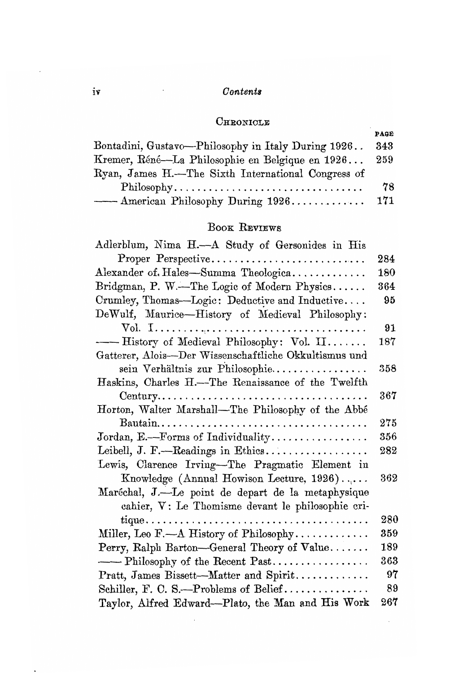#### $Contents$

#### $C$ HRONICLE

|                                                    | PAGE |
|----------------------------------------------------|------|
| Bontadini, Gustavo—Philosophy in Italy During 1926 | 343  |
| Kremer, Réné—La Philosophie en Belgique en 1926    | 259  |
| Ryan, James H.—The Sixth International Congress of |      |
| Philosophy                                         | 78   |
| —— American Philosophy During 1926                 | 171  |

## BOOK REVIEWS

| Adlerblum, Nima H.-A Study of Gersonides in His       |         |
|-------------------------------------------------------|---------|
| Proper Perspective                                    | 284     |
| Alexander of Hales-Summa Theologica                   | 180     |
| Bridgman, P. W.—The Logic of Modern Physics           | 364     |
| Crumley, Thomas—Logic: Deductive and Inductive        | 95      |
| DeWulf, Maurice-History of Medieval Philosophy:       |         |
|                                                       | 91      |
| -- History of Medieval Philosophy: Vol. II            | 187     |
| Gatterer, Alois-Der Wissenschaftliche Okkultismus und |         |
| sein Verhältnis zur Philosophie                       | 358     |
| Haskins, Charles H.-The Renaissance of the Twelfth    |         |
|                                                       | $367\,$ |
| Horton, Walter Marshall-The Philosophy of the Abbé    |         |
|                                                       | 275     |
| Jordan, E.-Forms of Individuality                     | 356     |
| Leibell, J. F.—Readings in Ethics                     | 282     |
| Lewis, Clarence Irving-The Pragmatic Element in       |         |
| Knowledge (Annual Howison Lecture, 1926)              | 362     |
| Maréchal, J.—Le point de depart de la metaphysique    |         |
| cahier, V: Le Thomisme devant le philosophie cri-     |         |
|                                                       | 280     |
| Miller, Leo F.-A History of Philosophy                | 359     |
| Perry, Ralph Barton-General Theory of Value           | 189     |
| -- Philosophy of the Recent Past                      | 363     |
| Pratt, James Bissett-Matter and Spirit                | 97      |
| Schiller, F. C. S.—Problems of Belief                 | 89      |
| Taylor, Alfred Edward—Plato, the Man and His Work     | 267     |

 $\cdot$ 

 $\ddot{\phantom{0}}$